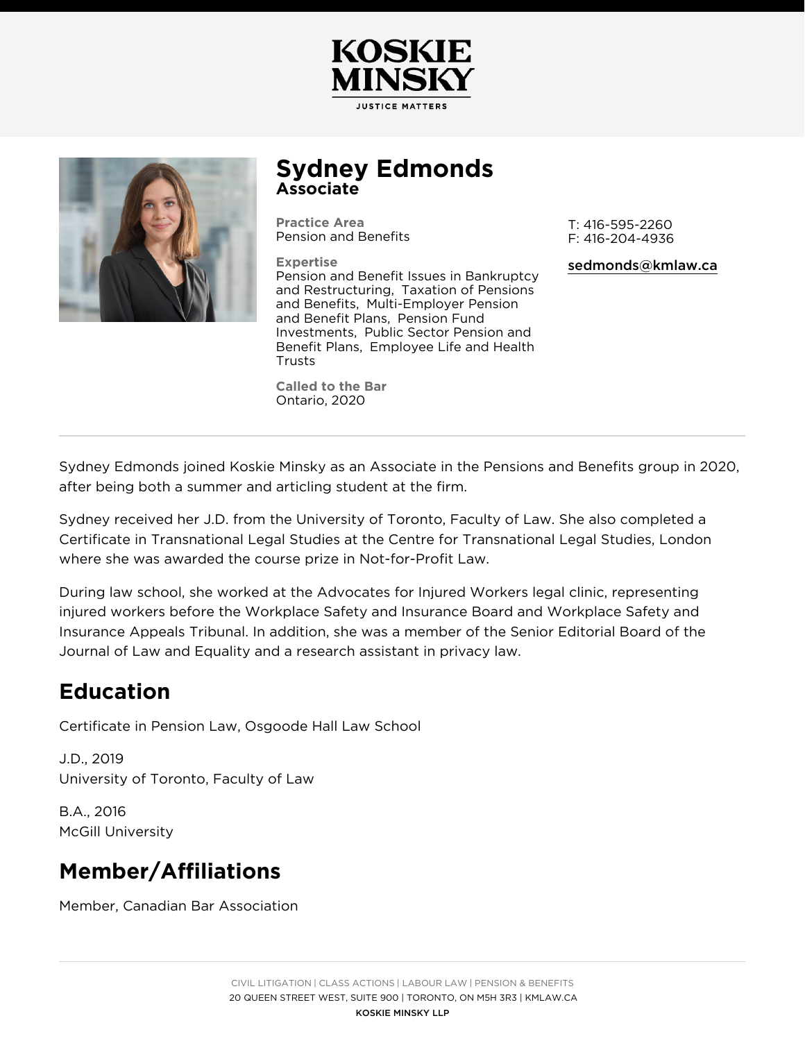## Sydney Edmonds Associate

Practice Area [Pension and Be](https://kmlaw.ca/practice-areas/pension-and-benefits/)nefits T: 416-595-2260 F: 416-204-4936

Expertise [Pension and Benefit Issues i](https://kmlaw.ca/practice-areas/pension-and-benefits/pension-and-benefit-issues-in-bankruptcy-and-restructuring/)n Bankruptcy [and Restruct](https://kmlaw.ca/practice-areas/pension-and-benefits/pension-and-benefit-issues-in-bankruptcy-and-restructuring/)uTiaxgation of Pensions [and Bene](https://kmlaw.ca/practice-areas/pension-and-benefits/taxation-of-pensions-and-benefits/)fMalti-Employer Pension [and Benefit P](https://kmlaw.ca/practice-areas/pension-and-benefits/multi-employer-pension-and-benefit-plans/)Pæms, on Fund [Investme](https://kmlaw.ca/practice-areas/pension-and-benefits/pension-fund-investments/)n Psublic Sector Pension and [Benefit Pl](https://kmlaw.ca/practice-areas/pension-and-benefits/public-sector-pension-and-benefit-plans/)aEmsployee Life and Health [Trus](https://kmlaw.ca/practice-areas/pension-and-benefits/employee-life-and-health-trusts/)ts [sedmonds@kmla](mailto:sedmonds@kmlaw.ca)w.ca

Called to the Bar Ontario, 2020

Sydney Edmonds joined Koskie Minsky as an Associate in the Pensions and after being both a summer and articling student at the firm.

Sydney received her J.D. from the University of Toronto, Faculty of Law. Sh Certificate in Transnational Legal Studies at the Centre for Transnational L where she was awarded the course prize in Not-for-Profit Law.

During law school, she worked at the Advocates for Injured Workers legal c injured workers before the Workplace Safety and Insurance Board and Work Insurance Appeals Tribunal. In addition, she was a member of the Senior Equineer Journal of Law and Equality and a research assistant in privacy law.

## Education

Certificate in Pension Law, Osgoode Hall Law School

J.D., 2019 University of Toronto, Faculty of Law

B.A., 2016 McGill University

## Member/Affiliations

Member, Canadian Bar Association